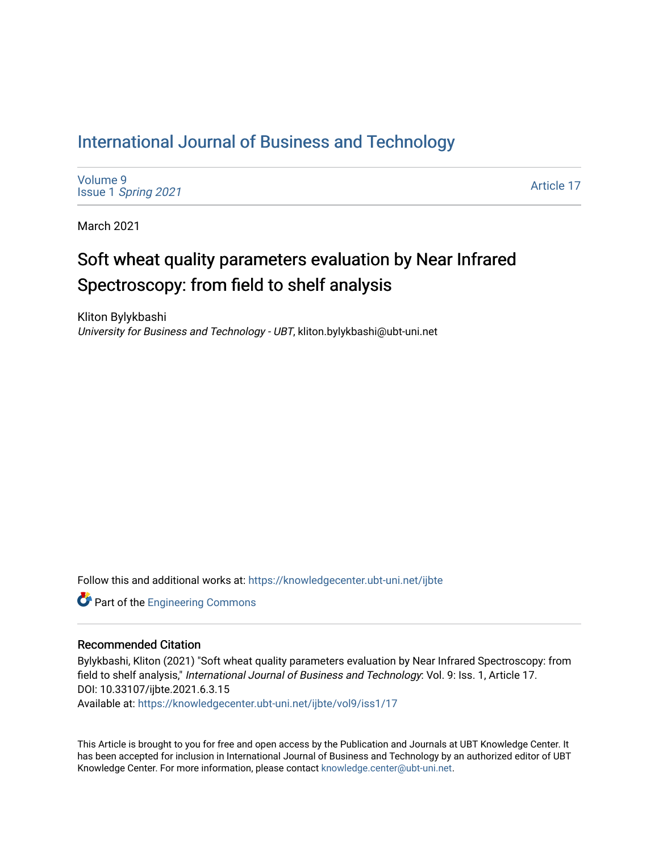# [International Journal of Business and Technology](https://knowledgecenter.ubt-uni.net/ijbte)

[Volume 9](https://knowledgecenter.ubt-uni.net/ijbte/vol9) Issue 1 [Spring 2021](https://knowledgecenter.ubt-uni.net/ijbte/vol9/iss1) 

[Article 17](https://knowledgecenter.ubt-uni.net/ijbte/vol9/iss1/17) 

March 2021

# Soft wheat quality parameters evaluation by Near Infrared Spectroscopy: from field to shelf analysis

Kliton Bylykbashi University for Business and Technology - UBT, kliton.bylykbashi@ubt-uni.net

Follow this and additional works at: [https://knowledgecenter.ubt-uni.net/ijbte](https://knowledgecenter.ubt-uni.net/ijbte?utm_source=knowledgecenter.ubt-uni.net%2Fijbte%2Fvol9%2Fiss1%2F17&utm_medium=PDF&utm_campaign=PDFCoverPages) 

**Part of the [Engineering Commons](https://network.bepress.com/hgg/discipline/217?utm_source=knowledgecenter.ubt-uni.net%2Fijbte%2Fvol9%2Fiss1%2F17&utm_medium=PDF&utm_campaign=PDFCoverPages)** 

# Recommended Citation

Bylykbashi, Kliton (2021) "Soft wheat quality parameters evaluation by Near Infrared Spectroscopy: from field to shelf analysis," International Journal of Business and Technology: Vol. 9: Iss. 1, Article 17. DOI: 10.33107/ijbte.2021.6.3.15

Available at: [https://knowledgecenter.ubt-uni.net/ijbte/vol9/iss1/17](https://knowledgecenter.ubt-uni.net/ijbte/vol9/iss1/17?utm_source=knowledgecenter.ubt-uni.net%2Fijbte%2Fvol9%2Fiss1%2F17&utm_medium=PDF&utm_campaign=PDFCoverPages) 

This Article is brought to you for free and open access by the Publication and Journals at UBT Knowledge Center. It has been accepted for inclusion in International Journal of Business and Technology by an authorized editor of UBT Knowledge Center. For more information, please contact [knowledge.center@ubt-uni.net](mailto:knowledge.center@ubt-uni.net).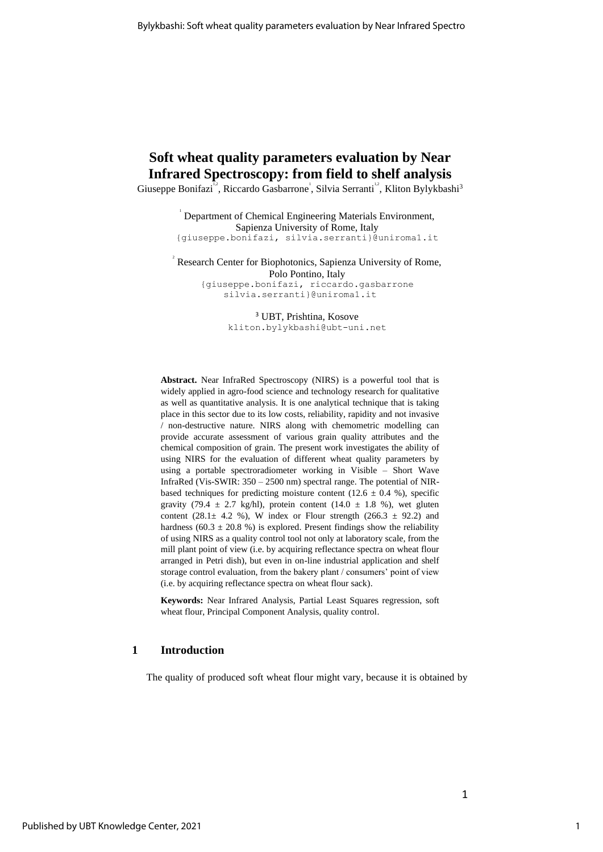# **Soft wheat quality parameters evaluation by Near Infrared Spectroscopy: from field to shelf analysis**

Giuseppe Bonifazi<sup>12</sup>, Riccardo Gasbarrone<sup>1</sup>, Silvia Serranti<sup>12</sup>, Kliton Bylykbashi<sup>3</sup>

1 Department of Chemical Engineering Materials Environment, Sapienza University of Rome, Italy {giuseppe.bonifazi, silvia.serranti}@uniroma1.it

<sup>2</sup> Research Center for Biophotonics, Sapienza University of Rome, Polo Pontino, Italy {giuseppe.bonifazi, riccardo.gasbarrone silvia.serranti}@uniroma1.it

> <sup>3</sup> UBT, Prishtina, Kosove [kliton.bylykbashi@ubt-uni.net](mailto:kliton.bylykbashi@ubt-uni.net)

**Abstract.** Near InfraRed Spectroscopy (NIRS) is a powerful tool that is widely applied in agro-food science and technology research for qualitative as well as quantitative analysis. It is one analytical technique that is taking place in this sector due to its low costs, reliability, rapidity and not invasive / non-destructive nature. NIRS along with chemometric modelling can provide accurate assessment of various grain quality attributes and the chemical composition of grain. The present work investigates the ability of using NIRS for the evaluation of different wheat quality parameters by using a portable spectroradiometer working in Visible – Short Wave InfraRed (Vis-SWIR: 350 – 2500 nm) spectral range. The potential of NIRbased techniques for predicting moisture content (12.6  $\pm$  0.4 %), specific gravity (79.4  $\pm$  2.7 kg/hl), protein content (14.0  $\pm$  1.8 %), wet gluten content (28.1 $\pm$  4.2 %), W index or Flour strength (266.3  $\pm$  92.2) and hardness (60.3  $\pm$  20.8 %) is explored. Present findings show the reliability of using NIRS as a quality control tool not only at laboratory scale, from the mill plant point of view (i.e. by acquiring reflectance spectra on wheat flour arranged in Petri dish), but even in on-line industrial application and shelf storage control evaluation, from the bakery plant / consumers' point of view (i.e. by acquiring reflectance spectra on wheat flour sack).

**Keywords:** Near Infrared Analysis, Partial Least Squares regression, soft wheat flour, Principal Component Analysis, quality control.

#### **1 Introduction**

The quality of produced soft wheat flour might vary, because it is obtained by

1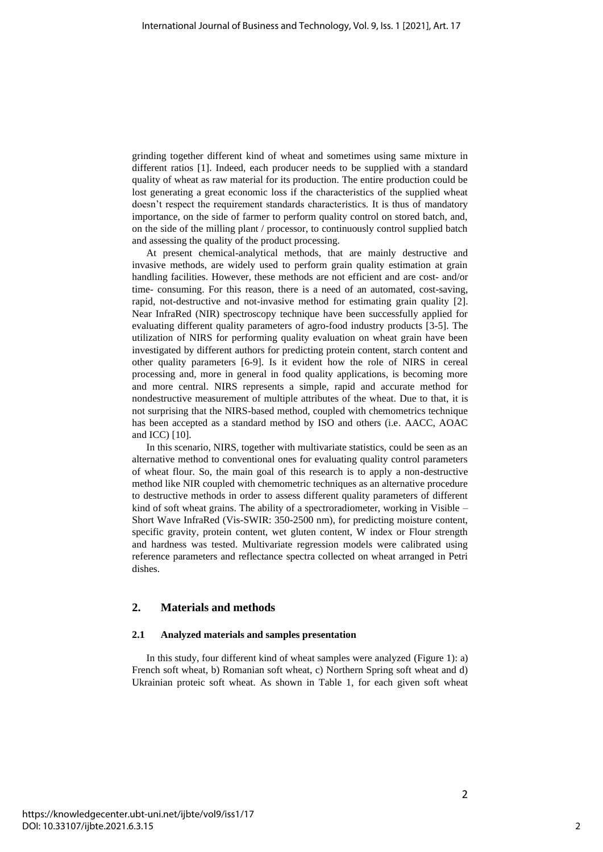grinding together different kind of wheat and sometimes using same mixture in different ratios [1]. Indeed, each producer needs to be supplied with a standard quality of wheat as raw material for its production. The entire production could be lost generating a great economic loss if the characteristics of the supplied wheat doesn't respect the requirement standards characteristics. It is thus of mandatory importance, on the side of farmer to perform quality control on stored batch, and, on the side of the milling plant / processor, to continuously control supplied batch and assessing the quality of the product processing.

At present chemical-analytical methods, that are mainly destructive and invasive methods, are widely used to perform grain quality estimation at grain handling facilities. However, these methods are not efficient and are cost- and/or time- consuming. For this reason, there is a need of an automated, cost-saving, rapid, not-destructive and not-invasive method for estimating grain quality [2]. Near InfraRed (NIR) spectroscopy technique have been successfully applied for evaluating different quality parameters of agro-food industry products [3-5]. The utilization of NIRS for performing quality evaluation on wheat grain have been investigated by different authors for predicting protein content, starch content and other quality parameters [6-9]. Is it evident how the role of NIRS in cereal processing and, more in general in food quality applications, is becoming more and more central. NIRS represents a simple, rapid and accurate method for nondestructive measurement of multiple attributes of the wheat. Due to that, it is not surprising that the NIRS-based method, coupled with chemometrics technique has been accepted as a standard method by ISO and others (i.e. AACC, AOAC and ICC) [10].

In this scenario, NIRS, together with multivariate statistics, could be seen as an alternative method to conventional ones for evaluating quality control parameters of wheat flour. So, the main goal of this research is to apply a non-destructive method like NIR coupled with chemometric techniques as an alternative procedure to destructive methods in order to assess different quality parameters of different kind of soft wheat grains. The ability of a spectroradiometer, working in Visible – Short Wave InfraRed (Vis-SWIR: 350-2500 nm), for predicting moisture content, specific gravity, protein content, wet gluten content, W index or Flour strength and hardness was tested. Multivariate regression models were calibrated using reference parameters and reflectance spectra collected on wheat arranged in Petri dishes.

### **2. Materials and methods**

#### **2.1 Analyzed materials and samples presentation**

In this study, four different kind of wheat samples were analyzed (Figure 1): a) French soft wheat, b) Romanian soft wheat, c) Northern Spring soft wheat and d) Ukrainian proteic soft wheat. As shown in Table 1, for each given soft wheat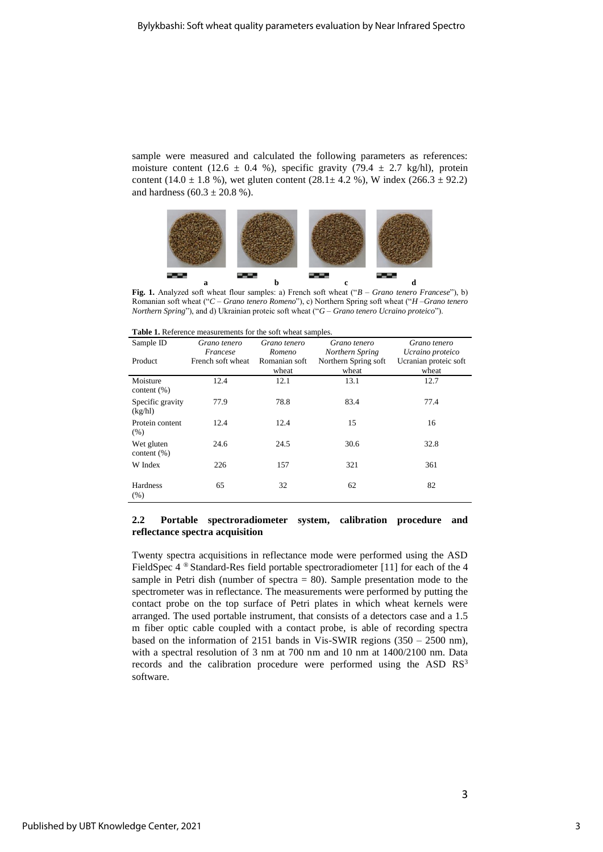sample were measured and calculated the following parameters as references: moisture content (12.6  $\pm$  0.4 %), specific gravity (79.4  $\pm$  2.7 kg/hl), protein content (14.0  $\pm$  1.8 %), wet gluten content (28.1 $\pm$  4.2 %), W index (266.3  $\pm$  92.2) and hardness  $(60.3 \pm 20.8 \%)$ .



**Fig. 1.** Analyzed soft wheat flour samples: a) French soft wheat ("*B – Grano tenero Francese*"), b) Romanian soft wheat ("*C – Grano tenero Romeno*"), c) Northern Spring soft wheat ("*H –Grano tenero Northern Spring*"), and d) Ukrainian proteic soft wheat ("*G – Grano tenero Ucraino proteico*").

| <b>Table 1.</b> Reference measurements for the soft wheat samples. |
|--------------------------------------------------------------------|
|--------------------------------------------------------------------|

| Sample ID                    | Grano tenero<br>Francese | Grano tenero<br>Romeno | Grano tenero<br>Northern Spring | Grano tenero<br>Ucraino proteico |
|------------------------------|--------------------------|------------------------|---------------------------------|----------------------------------|
| Product                      | French soft wheat        | Romanian soft<br>wheat | Northern Spring soft<br>wheat   | Ucranian proteic soft<br>wheat   |
| Moisture<br>content $(\%)$   | 12.4                     | 12.1                   | 13.1                            | 12.7                             |
| Specific gravity<br>(kg/hl)  | 77.9                     | 78.8                   | 83.4                            | 77.4                             |
| Protein content<br>(% )      | 12.4                     | 12.4                   | 15                              | 16                               |
| Wet gluten<br>content $(\%)$ | 24.6                     | 24.5                   | 30.6                            | 32.8                             |
| W Index                      | 226                      | 157                    | 321                             | 361                              |
| Hardness<br>(%)              | 65                       | 32                     | 62                              | 82                               |

#### **2.2 Portable spectroradiometer system, calibration procedure and reflectance spectra acquisition**

Twenty spectra acquisitions in reflectance mode were performed using the ASD FieldSpec 4 ® Standard-Res field portable spectroradiometer [11] for each of the 4 sample in Petri dish (number of spectra  $= 80$ ). Sample presentation mode to the spectrometer was in reflectance. The measurements were performed by putting the contact probe on the top surface of Petri plates in which wheat kernels were arranged. The used portable instrument, that consists of a detectors case and a 1.5 m fiber optic cable coupled with a contact probe, is able of recording spectra based on the information of 2151 bands in Vis-SWIR regions  $(350 - 2500 \text{ nm})$ , with a spectral resolution of 3 nm at 700 nm and 10 nm at 1400/2100 nm. Data records and the calibration procedure were performed using the ASD  $RS<sup>3</sup>$ software.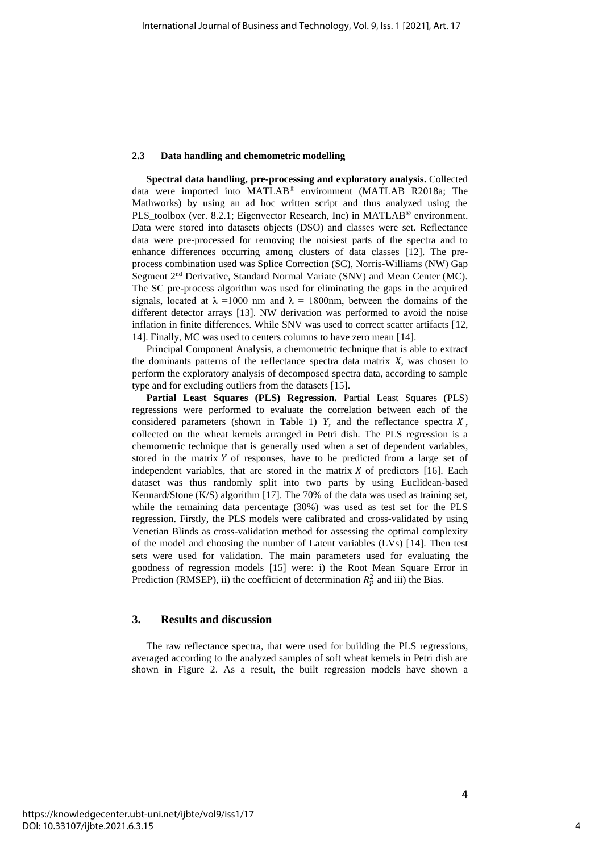#### **2.3 Data handling and chemometric modelling**

**Spectral data handling, pre-processing and exploratory analysis.** Collected data were imported into MATLAB® environment (MATLAB R2018a; The Mathworks) by using an ad hoc written script and thus analyzed using the PLS\_toolbox (ver. 8.2.1; Eigenvector Research, Inc) in MATLAB® environment. Data were stored into datasets objects (DSO) and classes were set. Reflectance data were pre-processed for removing the noisiest parts of the spectra and to enhance differences occurring among clusters of data classes [12]. The preprocess combination used was Splice Correction (SC), Norris-Williams (NW) Gap Segment 2nd Derivative, Standard Normal Variate (SNV) and Mean Center (MC). The SC pre-process algorithm was used for eliminating the gaps in the acquired signals, located at  $\lambda = 1000$  nm and  $\lambda = 1800$ nm, between the domains of the different detector arrays [13]. NW derivation was performed to avoid the noise inflation in finite differences. While SNV was used to correct scatter artifacts [12, 14]. Finally, MC was used to centers columns to have zero mean [14].

Principal Component Analysis, a chemometric technique that is able to extract the dominants patterns of the reflectance spectra data matrix *X*, was chosen to perform the exploratory analysis of decomposed spectra data, according to sample type and for excluding outliers from the datasets [15].

**Partial Least Squares (PLS) Regression.** Partial Least Squares (PLS) regressions were performed to evaluate the correlation between each of the considered parameters (shown in Table 1)  $Y$ , and the reflectance spectra  $X$ , collected on the wheat kernels arranged in Petri dish. The PLS regression is a chemometric technique that is generally used when a set of dependent variables, stored in the matrix  $Y$  of responses, have to be predicted from a large set of independent variables, that are stored in the matrix  $X$  of predictors [16]. Each dataset was thus randomly split into two parts by using Euclidean-based Kennard/Stone (K/S) algorithm [17]. The 70% of the data was used as training set, while the remaining data percentage (30%) was used as test set for the PLS regression. Firstly, the PLS models were calibrated and cross-validated by using Venetian Blinds as cross-validation method for assessing the optimal complexity of the model and choosing the number of Latent variables (LVs) [14]. Then test sets were used for validation. The main parameters used for evaluating the goodness of regression models [15] were: i) the Root Mean Square Error in Prediction (RMSEP), ii) the coefficient of determination  $R_p^2$  and iii) the Bias.

## **3. Results and discussion**

The raw reflectance spectra, that were used for building the PLS regressions, averaged according to the analyzed samples of soft wheat kernels in Petri dish are shown in Figure 2. As a result, the built regression models have shown a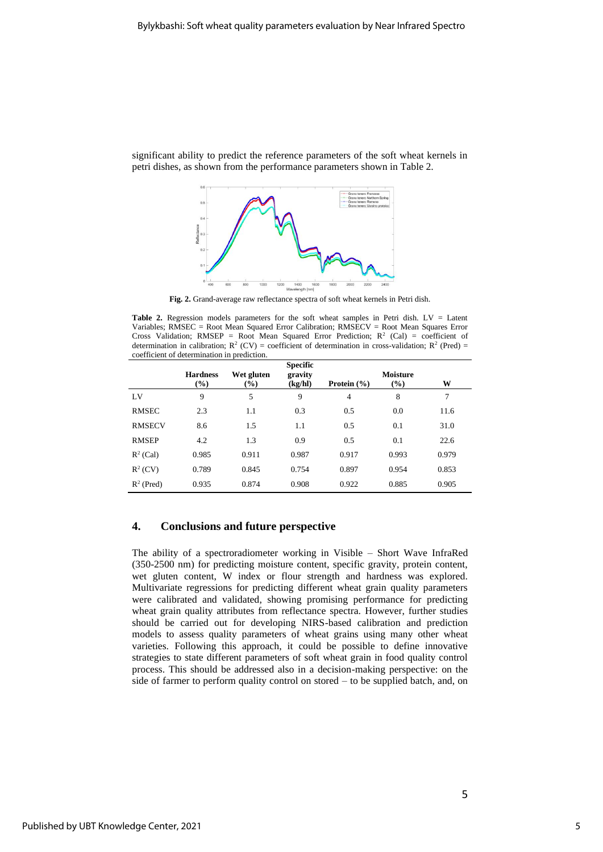



**Fig. 2.** Grand-average raw reflectance spectra of soft wheat kernels in Petri dish.

Table 2. Regression models parameters for the soft wheat samples in Petri dish. LV = Latent Variables; RMSEC = Root Mean Squared Error Calibration; RMSECV = Root Mean Squares Error Cross Validation; RMSEP = Root Mean Squared Error Prediction;  $R^2$  (Cal) = coefficient of determination in calibration;  $R^2$  (CV) = coefficient of determination in cross-validation;  $R^2$  (Pred) = coefficient of determination in prediction.

|               | <b>Hardness</b><br>$\left(\frac{0}{0}\right)$ | Wet gluten<br>$(\%)$ | <b>Specific</b><br>gravity<br>(kg/hl) | Protein $(\% )$ | <b>Moisture</b><br>$\left(\frac{0}{0}\right)$ | W     |
|---------------|-----------------------------------------------|----------------------|---------------------------------------|-----------------|-----------------------------------------------|-------|
| LV            | 9                                             | 5                    | 9                                     | 4               | 8                                             | 7     |
| <b>RMSEC</b>  | 2.3                                           | 1.1                  | 0.3                                   | 0.5             | 0.0                                           | 11.6  |
| <b>RMSECV</b> | 8.6                                           | 1.5                  | 1.1                                   | 0.5             | 0.1                                           | 31.0  |
| <b>RMSEP</b>  | 4.2                                           | 1.3                  | 0.9                                   | 0.5             | 0.1                                           | 22.6  |
| $R^2$ (Cal)   | 0.985                                         | 0.911                | 0.987                                 | 0.917           | 0.993                                         | 0.979 |
| $R^2$ (CV)    | 0.789                                         | 0.845                | 0.754                                 | 0.897           | 0.954                                         | 0.853 |
| $R^2$ (Pred)  | 0.935                                         | 0.874                | 0.908                                 | 0.922           | 0.885                                         | 0.905 |

# **4. Conclusions and future perspective**

The ability of a spectroradiometer working in Visible – Short Wave InfraRed (350-2500 nm) for predicting moisture content, specific gravity, protein content, wet gluten content, W index or flour strength and hardness was explored. Multivariate regressions for predicting different wheat grain quality parameters were calibrated and validated, showing promising performance for predicting wheat grain quality attributes from reflectance spectra. However, further studies should be carried out for developing NIRS-based calibration and prediction models to assess quality parameters of wheat grains using many other wheat varieties. Following this approach, it could be possible to define innovative strategies to state different parameters of soft wheat grain in food quality control process. This should be addressed also in a decision-making perspective: on the side of farmer to perform quality control on stored – to be supplied batch, and, on